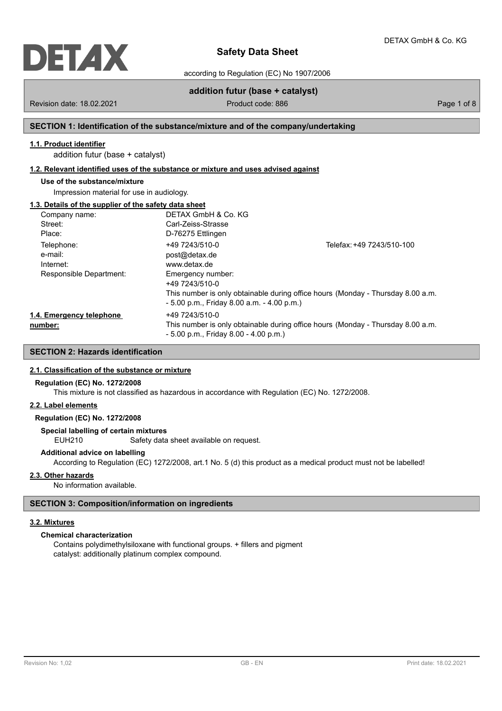

according to Regulation (EC) No 1907/2006

# **addition futur (base + catalyst)**

Revision date: 18.02.2021 Case of 8 Product code: 886 Page 1 of 8 Page 1 of 8

# **SECTION 1: Identification of the substance/mixture and of the company/undertaking**

# **1.1. Product identifier**

addition futur (base + catalyst)

# **1.2. Relevant identified uses of the substance or mixture and uses advised against**

# **Use of the substance/mixture**

Impression material for use in audiology.

# **1.3. Details of the supplier of the safety data sheet**

| Company name:            | DETAX GmbH & Co. KG                          |                                                                                 |
|--------------------------|----------------------------------------------|---------------------------------------------------------------------------------|
| Street:                  | Carl-Zeiss-Strasse                           |                                                                                 |
| Place:                   | D-76275 Ettlingen                            |                                                                                 |
| Telephone:               | +49 7243/510-0                               | Telefax: +49 7243/510-100                                                       |
| e-mail:                  | post@detax.de                                |                                                                                 |
| Internet:                | www.detax.de                                 |                                                                                 |
| Responsible Department:  | Emergency number:                            |                                                                                 |
|                          | +49 7243/510-0                               |                                                                                 |
|                          |                                              | This number is only obtainable during office hours (Monday - Thursday 8.00 a.m. |
|                          | $-5.00$ p.m., Friday 8.00 a.m. $-4.00$ p.m.) |                                                                                 |
| 1.4. Emergency telephone | +49 7243/510-0                               |                                                                                 |
| number:                  |                                              | This number is only obtainable during office hours (Monday - Thursday 8.00 a.m. |
|                          | $-5.00$ p.m., Friday 8.00 $-4.00$ p.m.)      |                                                                                 |

# **SECTION 2: Hazards identification**

# **2.1. Classification of the substance or mixture**

# **Regulation (EC) No. 1272/2008**

This mixture is not classified as hazardous in accordance with Regulation (EC) No. 1272/2008.

# **2.2. Label elements**

# **Regulation (EC) No. 1272/2008**

**Special labelling of certain mixtures**

EUH210 Safety data sheet available on request.

# **Additional advice on labelling**

According to Regulation (EC) 1272/2008, art.1 No. 5 (d) this product as a medical product must not be labelled!

# **2.3. Other hazards**

No information available.

# **SECTION 3: Composition/information on ingredients**

#### **3.2. Mixtures**

# **Chemical characterization**

Contains polydimethylsiloxane with functional groups. + fillers and pigment catalyst: additionally platinum complex compound.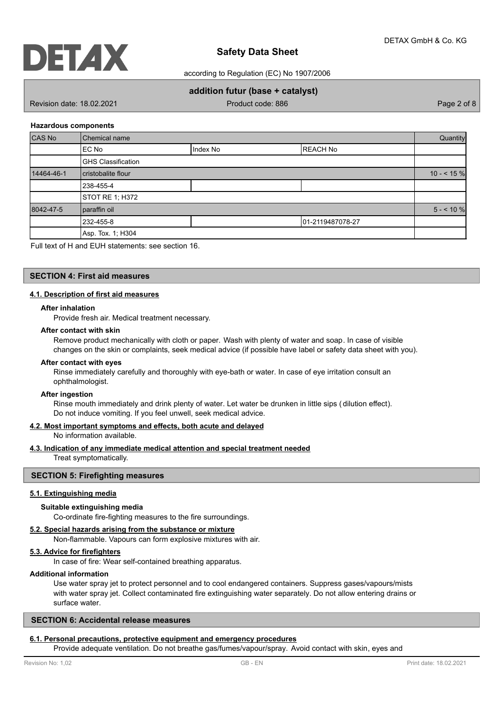

according to Regulation (EC) No 1907/2006

# **addition futur (base + catalyst)**

Revision date: 18.02.2021 **Product code: 886** Page 2 of 8

# **Hazardous components**

| CAS No     | Chemical name             |          |                  |           |
|------------|---------------------------|----------|------------------|-----------|
|            | EC No                     | Index No | <b>REACH No</b>  |           |
|            | <b>GHS Classification</b> |          |                  |           |
| 14464-46-1 | cristobalite flour        |          | $10 - 5\%$       |           |
|            | 238-455-4                 |          |                  |           |
|            | STOT RE 1; H372           |          |                  |           |
| 8042-47-5  | paraffin oil              |          |                  | $5 - 10%$ |
|            | 232-455-8                 |          | 01-2119487078-27 |           |
|            | Asp. Tox. 1; H304         |          |                  |           |

Full text of H and EUH statements: see section 16.

# **SECTION 4: First aid measures**

# **4.1. Description of first aid measures**

# **After inhalation**

Provide fresh air. Medical treatment necessary.

# **After contact with skin**

Remove product mechanically with cloth or paper. Wash with plenty of water and soap. In case of visible changes on the skin or complaints, seek medical advice (if possible have label or safety data sheet with you).

#### **After contact with eyes**

Rinse immediately carefully and thoroughly with eye-bath or water. In case of eye irritation consult an ophthalmologist.

#### **After ingestion**

Rinse mouth immediately and drink plenty of water. Let water be drunken in little sips ( dilution effect). Do not induce vomiting. If you feel unwell, seek medical advice.

# **4.2. Most important symptoms and effects, both acute and delayed**

No information available.

# **4.3. Indication of any immediate medical attention and special treatment needed**

Treat symptomatically.

# **SECTION 5: Firefighting measures**

# **5.1. Extinguishing media**

# **Suitable extinguishing media**

Co-ordinate fire-fighting measures to the fire surroundings.

# **5.2. Special hazards arising from the substance or mixture**

Non-flammable. Vapours can form explosive mixtures with air.

# **5.3. Advice for firefighters**

In case of fire: Wear self-contained breathing apparatus.

#### **Additional information**

Use water spray jet to protect personnel and to cool endangered containers. Suppress gases/vapours/mists with water spray jet. Collect contaminated fire extinguishing water separately. Do not allow entering drains or surface water.

# **SECTION 6: Accidental release measures**

#### **6.1. Personal precautions, protective equipment and emergency procedures**

Provide adequate ventilation. Do not breathe gas/fumes/vapour/spray. Avoid contact with skin, eyes and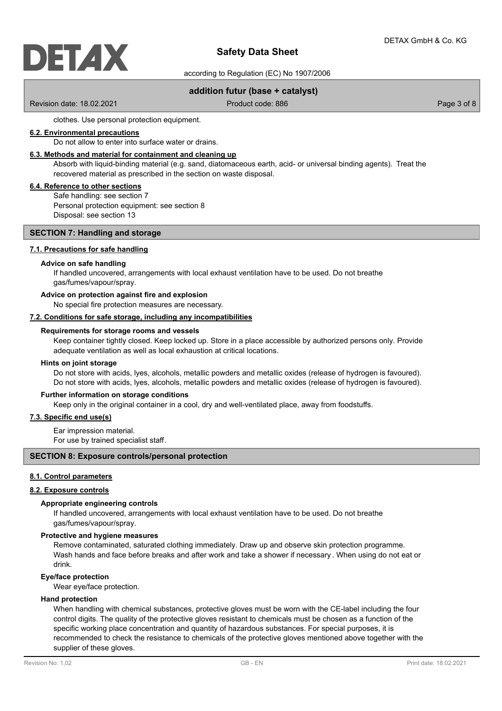

according to Regulation (EC) No 1907/2006

# **addition futur (base + catalyst)**

Revision date: 18.02.2021 **Product code: 886** Page 3 of 8

clothes. Use personal protection equipment.

# **6.2. Environmental precautions**

Do not allow to enter into surface water or drains.

# **6.3. Methods and material for containment and cleaning up**

Absorb with liquid-binding material (e.g. sand, diatomaceous earth, acid- or universal binding agents). Treat the recovered material as prescribed in the section on waste disposal.

# **6.4. Reference to other sections**

Safe handling: see section 7 Personal protection equipment: see section 8 Disposal: see section 13

# **SECTION 7: Handling and storage**

# **7.1. Precautions for safe handling**

# **Advice on safe handling**

If handled uncovered, arrangements with local exhaust ventilation have to be used. Do not breathe gas/fumes/vapour/spray.

# **Advice on protection against fire and explosion**

No special fire protection measures are necessary.

#### **7.2. Conditions for safe storage, including any incompatibilities**

# **Requirements for storage rooms and vessels**

Keep container tightly closed. Keep locked up. Store in a place accessible by authorized persons only. Provide adequate ventilation as well as local exhaustion at critical locations.

#### **Hints on joint storage**

Do not store with acids, lyes, alcohols, metallic powders and metallic oxides (release of hydrogen is favoured). Do not store with acids, lyes, alcohols, metallic powders and metallic oxides (release of hydrogen is favoured).

#### **Further information on storage conditions**

Keep only in the original container in a cool, dry and well-ventilated place, away from foodstuffs.

# **7.3. Specific end use(s)**

Ear impression material.

For use by trained specialist staff.

# **SECTION 8: Exposure controls/personal protection**

# **8.1. Control parameters**

#### **8.2. Exposure controls**

#### **Appropriate engineering controls**

If handled uncovered, arrangements with local exhaust ventilation have to be used. Do not breathe gas/fumes/vapour/spray.

#### **Protective and hygiene measures**

Remove contaminated, saturated clothing immediately. Draw up and observe skin protection programme. Wash hands and face before breaks and after work and take a shower if necessary . When using do not eat or drink.

# **Eye/face protection**

Wear eye/face protection.

# **Hand protection**

When handling with chemical substances, protective gloves must be worn with the CE-label including the four control digits. The quality of the protective gloves resistant to chemicals must be chosen as a function of the specific working place concentration and quantity of hazardous substances. For special purposes, it is recommended to check the resistance to chemicals of the protective gloves mentioned above together with the supplier of these gloves.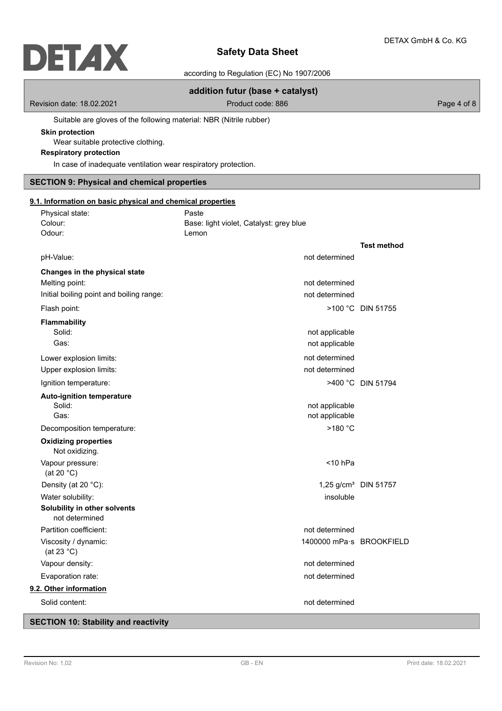# **DETAX**

# **Safety Data Sheet**

according to Regulation (EC) No 1907/2006

# **addition futur (base + catalyst)**

Revision date: 18.02.2021 Case 2010 Product code: 886 Page 4 of 8

Suitable are gloves of the following material: NBR (Nitrile rubber)

# **Skin protection**

Wear suitable protective clothing.

# **Respiratory protection**

In case of inadequate ventilation wear respiratory protection.

# **SECTION 9: Physical and chemical properties**

| 9.1. Information on basic physical and chemical properties |                                                  |                    |
|------------------------------------------------------------|--------------------------------------------------|--------------------|
| Physical state:<br>Colour:                                 | Paste<br>Base: light violet, Catalyst: grey blue |                    |
| Odour:                                                     | Lemon                                            |                    |
|                                                            |                                                  | <b>Test method</b> |
| pH-Value:                                                  | not determined                                   |                    |
| Changes in the physical state                              |                                                  |                    |
| Melting point:                                             | not determined                                   |                    |
| Initial boiling point and boiling range:                   | not determined                                   |                    |
| Flash point:                                               |                                                  | >100 °C DIN 51755  |
| Flammability                                               |                                                  |                    |
| Solid:                                                     | not applicable                                   |                    |
| Gas:                                                       | not applicable                                   |                    |
| Lower explosion limits:                                    | not determined                                   |                    |
| Upper explosion limits:                                    | not determined                                   |                    |
| Ignition temperature:                                      |                                                  | >400 °C DIN 51794  |
| <b>Auto-ignition temperature</b>                           |                                                  |                    |
| Solid:                                                     | not applicable                                   |                    |
| Gas:                                                       | not applicable                                   |                    |
| Decomposition temperature:                                 | >180 °C                                          |                    |
| <b>Oxidizing properties</b><br>Not oxidizing.              |                                                  |                    |
| Vapour pressure:<br>(at 20 $°C$ )                          | $<$ 10 hPa                                       |                    |
| Density (at 20 °C):                                        | 1,25 g/cm <sup>3</sup> DIN 51757                 |                    |
| Water solubility:                                          | insoluble                                        |                    |
| Solubility in other solvents                               |                                                  |                    |
| not determined                                             |                                                  |                    |
| Partition coefficient:                                     | not determined                                   |                    |
| Viscosity / dynamic:<br>(at 23 $^{\circ}$ C)               | 1400000 mPa·s BROOKFIELD                         |                    |
| Vapour density:                                            | not determined                                   |                    |
| Evaporation rate:                                          | not determined                                   |                    |
| 9.2. Other information                                     |                                                  |                    |
| Solid content:                                             | not determined                                   |                    |

# **SECTION 10: Stability and reactivity**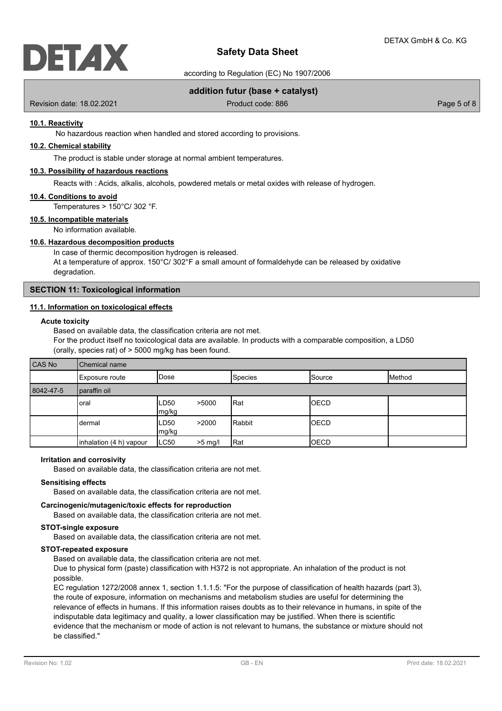

according to Regulation (EC) No 1907/2006

# **addition futur (base + catalyst)**

Revision date: 18.02.2021 **Product code: 886** Page 5 of 8

# **10.1. Reactivity**

No hazardous reaction when handled and stored according to provisions.

# **10.2. Chemical stability**

The product is stable under storage at normal ambient temperatures.

# **10.3. Possibility of hazardous reactions**

Reacts with : Acids, alkalis, alcohols, powdered metals or metal oxides with release of hydrogen.

### **10.4. Conditions to avoid**

Temperatures > 150°C/ 302 °F.

# **10.5. Incompatible materials**

No information available.

# **10.6. Hazardous decomposition products**

In case of thermic decomposition hydrogen is released. At a temperature of approx.  $150^{\circ}$ C/  $302^{\circ}$ F a small amount of formaldehyde can be released by oxidative degradation.

# **SECTION 11: Toxicological information**

# **11.1. Information on toxicological effects**

# **Acute toxicity**

Based on available data, the classification criteria are not met. For the product itself no toxicological data are available. In products with a comparable composition, a LD50 (orally, species rat) of > 5000 mg/kg has been found.

| CAS No    | Chemical name           |                |           |         |                 |                 |
|-----------|-------------------------|----------------|-----------|---------|-----------------|-----------------|
|           | Exposure route          | <b>I</b> Dose  |           | Species | <b>I</b> Source | <b>I</b> Method |
| 8042-47-5 | paraffin oil            |                |           |         |                 |                 |
|           | loral                   | ILD50<br>mg/kg | >5000     | Rat     | <b>IOECD</b>    |                 |
|           | dermal                  | ILD50<br>mg/kg | >2000     | Rabbit  | <b>IOECD</b>    |                 |
|           | inhalation (4 h) vapour | ILC50          | $>5$ mg/l | Rat     | <b>OECD</b>     |                 |

# **Irritation and corrosivity**

Based on available data, the classification criteria are not met.

#### **Sensitising effects**

Based on available data, the classification criteria are not met.

# **Carcinogenic/mutagenic/toxic effects for reproduction**

Based on available data, the classification criteria are not met.

# **STOT-single exposure**

Based on available data, the classification criteria are not met.

# **STOT-repeated exposure**

Based on available data, the classification criteria are not met.

Due to physical form (paste) classification with H372 is not appropriate. An inhalation of the product is not possible.

EC regulation 1272/2008 annex 1, section 1.1.1.5: "For the purpose of classification of health hazards (part 3), the route of exposure, information on mechanisms and metabolism studies are useful for determining the relevance of effects in humans. If this information raises doubts as to their relevance in humans, in spite of the indisputable data legitimacy and quality, a lower classification may be justified. When there is scientific evidence that the mechanism or mode of action is not relevant to humans, the substance or mixture should not be classified."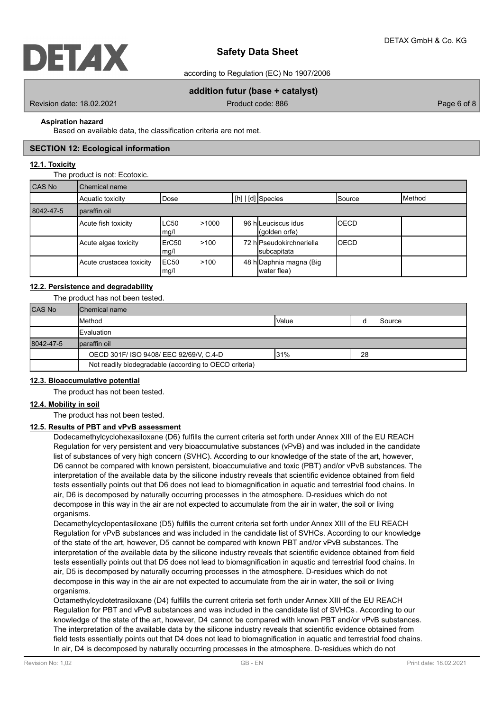

according to Regulation (EC) No 1907/2006

# **addition futur (base + catalyst)**

Revision date: 18.02.2021 **Product code: 886** Page 6 of 8

# **Aspiration hazard**

Based on available data, the classification criteria are not met.

# **SECTION 12: Ecological information**

# **12.1. Toxicity**

The product is not: Ecotoxic.

| <b>CAS No</b> | Chemical name            |                           |       |  |                                              |             |                 |
|---------------|--------------------------|---------------------------|-------|--|----------------------------------------------|-------------|-----------------|
|               | Aquatic toxicity         | Dose                      |       |  | [h]   [d] Species                            | lSource     | <b>I</b> Method |
| 8042-47-5     | paraffin oil             |                           |       |  |                                              |             |                 |
|               | Acute fish toxicity      | LC50<br>mg/l              | >1000 |  | 96 hlLeuciscus idus<br>$\vert$ (golden orfe) | <b>OECD</b> |                 |
|               | Acute algae toxicity     | ErC <sub>50</sub><br>mg/l | >100  |  | 72 hlPseudokirchneriella<br>subcapitata      | <b>OECD</b> |                 |
|               | Acute crustacea toxicity | IEC50<br>mg/l             | >100  |  | 48 h Daphnia magna (Big<br>water flea)       |             |                 |

# **12.2. Persistence and degradability**

The product has not been tested.

| <b>CAS No</b> | <b>I</b> Chemical name                                 |       |    |                 |
|---------------|--------------------------------------------------------|-------|----|-----------------|
|               | Method                                                 | Value |    | <b>I</b> Source |
|               | <b>Evaluation</b>                                      |       |    |                 |
| 8042-47-5     | Iparaffin oil                                          |       |    |                 |
|               | OECD 301F/ ISO 9408/ EEC 92/69/V, C.4-D                | 31%   | 28 |                 |
|               | Not readily biodegradable (according to OECD criteria) |       |    |                 |

# **12.3. Bioaccumulative potential**

The product has not been tested.

# **12.4. Mobility in soil**

The product has not been tested.

# **12.5. Results of PBT and vPvB assessment**

Dodecamethylcyclohexasiloxane (D6) fulfills the current criteria set forth under Annex XIII of the EU REACH Regulation for very persistent and very bioaccumulative substances (vPvB) and was included in the candidate list of substances of very high concern (SVHC). According to our knowledge of the state of the art, however, D6 cannot be compared with known persistent, bioaccumulative and toxic (PBT) and/or vPvB substances. The interpretation of the available data by the silicone industry reveals that scientific evidence obtained from field tests essentially points out that D6 does not lead to biomagnification in aquatic and terrestrial food chains. In air, D6 is decomposed by naturally occurring processes in the atmosphere. D-residues which do not decompose in this way in the air are not expected to accumulate from the air in water, the soil or living organisms.

Decamethylcyclopentasiloxane (D5) fulfills the current criteria set forth under Annex XIII of the EU REACH Regulation for vPvB substances and was included in the candidate list of SVHCs. According to our knowledge of the state of the art, however, D5 cannot be compared with known PBT and/or vPvB substances. The interpretation of the available data by the silicone industry reveals that scientific evidence obtained from field tests essentially points out that D5 does not lead to biomagnification in aquatic and terrestrial food chains. In air, D5 is decomposed by naturally occurring processes in the atmosphere. D-residues which do not decompose in this way in the air are not expected to accumulate from the air in water, the soil or living organisms.

Octamethylcyclotetrasiloxane (D4) fulfills the current criteria set forth under Annex XIII of the EU REACH Regulation for PBT and vPvB substances and was included in the candidate list of SVHCs . According to our knowledge of the state of the art, however, D4 cannot be compared with known PBT and/or vPvB substances. The interpretation of the available data by the silicone industry reveals that scientific evidence obtained from field tests essentially points out that D4 does not lead to biomagnification in aquatic and terrestrial food chains. In air, D4 is decomposed by naturally occurring processes in the atmosphere. D-residues which do not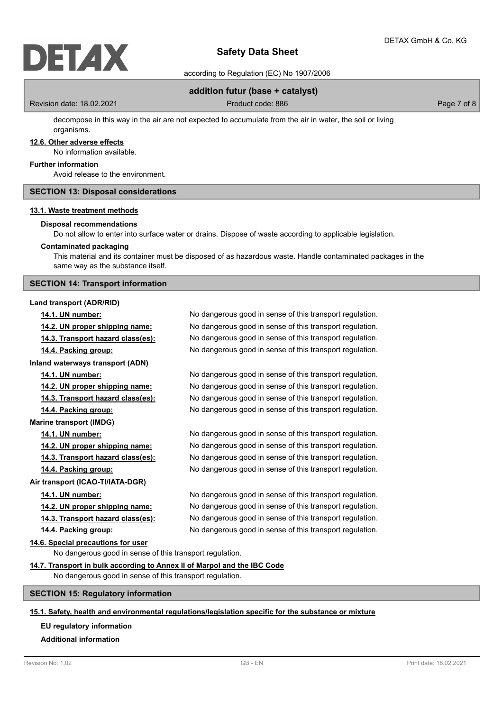according to Regulation (EC) No 1907/2006

# **addition futur (base + catalyst)**

Revision date: 18.02.2021 **Product code: 886** Page 7 of 8

decompose in this way in the air are not expected to accumulate from the air in water, the soil or living organisms.

# **12.6. Other adverse effects**

No information available.

# **Further information**

Avoid release to the environment.

# **SECTION 13: Disposal considerations**

# **13.1. Waste treatment methods**

### **Disposal recommendations**

Do not allow to enter into surface water or drains. Dispose of waste according to applicable legislation.

#### **Contaminated packaging**

This material and its container must be disposed of as hazardous waste. Handle contaminated packages in the same way as the substance itself.

# **SECTION 14: Transport information**

**Land transport (ADR/RID)**

**Inland waterways transport (ADN)**

**Marine transport (IMDG)**

**Air transport (ICAO-TI/IATA-DGR)**

# **14.6. Special precautions for user**

No dangerous good in sense of this transport regulation.

# **14.7. Transport in bulk according to Annex II of Marpol and the IBC Code**

No dangerous good in sense of this transport regulation.

# **SECTION 15: Regulatory information**

# **15.1. Safety, health and environmental regulations/legislation specific for the substance or mixture**

# **EU regulatory information**

# **Additional information**

**14.1. UN number:** No dangerous good in sense of this transport regulation. **14.2. UN proper shipping name:** No dangerous good in sense of this transport regulation. **14.3. Transport hazard class(es):** No dangerous good in sense of this transport regulation. **14.4. Packing group:** No dangerous good in sense of this transport regulation.

**14.1. UN number:** No dangerous good in sense of this transport regulation. **14.2. UN proper shipping name:** No dangerous good in sense of this transport regulation. **14.3. Transport hazard class(es):** No dangerous good in sense of this transport regulation. **14.4. Packing group:** No dangerous good in sense of this transport regulation.

**14.1. UN number:** No dangerous good in sense of this transport regulation. **14.2. UN proper shipping name:** No dangerous good in sense of this transport regulation. **14.3. Transport hazard class(es):** No dangerous good in sense of this transport regulation. **14.4. Packing group:** No dangerous good in sense of this transport regulation.

**14.1. UN number:** No dangerous good in sense of this transport regulation. **14.2. UN proper shipping name:** No dangerous good in sense of this transport regulation. **14.3. Transport hazard class(es):** No dangerous good in sense of this transport regulation. **14.4. Packing group:** No dangerous good in sense of this transport regulation.